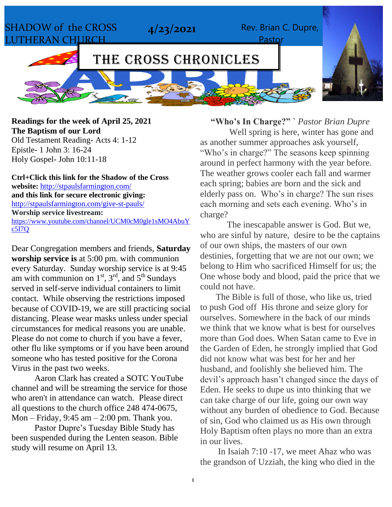SHADOW of the CROSS LUTHERAN CHURCH **4/23/2021** Rev. Brian C. Dupre, Pastor THE CROSS CHRONICLES

**Readings for the week of April 25, 2021 The Baptism of our Lord** Old Testament Reading- Acts 4: 1-12 Epistle- 1 John 3: 16-24

Holy Gospel- John 10:11-18

**Ctrl+Click this link for the Shadow of the Cross website:** <http://stpaulsfarmington.com/> **and this link for secure electronic giving:** <http://stpaulsfarmington.com/give-st-pauls/> **Worship service livestream:**  [https://www.youtube.com/channel/UCM0cM0gle1sMO4AbuY](https://www.youtube.com/channel/UCM0cM0gle1sMO4AbuYc5I7Q) [c5I7Q](https://www.youtube.com/channel/UCM0cM0gle1sMO4AbuYc5I7Q)

Dear Congregation members and friends, **Saturday worship service is** at 5:00 pm. with communion every Saturday. Sunday worship service is at 9:45 am with communion on  $1<sup>st</sup>$ ,  $3<sup>rd</sup>$ , and  $5<sup>th</sup>$  Sundays served in self-serve individual containers to limit contact. While observing the restrictions imposed because of COVID-19, we are still practicing social distancing. Please wear masks unless under special circumstances for medical reasons you are unable. Please do not come to church if you have a fever, other flu like symptoms or if you have been around someone who has tested positive for the Corona Virus in the past two weeks.

Aaron Clark has created a SOTC YouTube channel and will be streaming the service for those who aren't in attendance can watch. Please direct all questions to the church office 248 474-0675, Mon – Friday,  $9:45$  am –  $2:00$  pm. Thank you.

Pastor Dupre's Tuesday Bible Study has been suspended during the Lenten season. Bible study will resume on April 13.

**"Who's In Charge?" `** *Pastor Brian Dupre* Well spring is here, winter has gone and as another summer approaches ask yourself, "Who's in charge?" The seasons keep spinning around in perfect harmony with the year before. The weather grows cooler each fall and warmer each spring; babies are born and the sick and elderly pass on. Who's in charge? The sun rises each morning and sets each evening. Who's in charge?

The inescapable answer is God. But we, who are sinful by nature, desire to be the captains of our own ships, the masters of our own destinies, forgetting that we are not our own; we belong to Him who sacrificed Himself for us; the One whose body and blood, paid the price that we could not have.

 The Bible is full of those, who like us, tried to push God off His throne and seize glory for ourselves. Somewhere in the back of our minds we think that we know what is best for ourselves more than God does. When Satan came to Eve in the Garden of Eden, he strongly implied that God did not know what was best for her and her husband, and foolishly she believed him. The devil's approach hasn't changed since the days of Eden. He seeks to dupe us into thinking that we can take charge of our life, going our own way without any burden of obedience to God. Because of sin, God who claimed us as His own through Holy Baptism often plays no more than an extra in our lives.

 In Isaiah 7:10 -17, we meet Ahaz who was the grandson of Uzziah, the king who died in the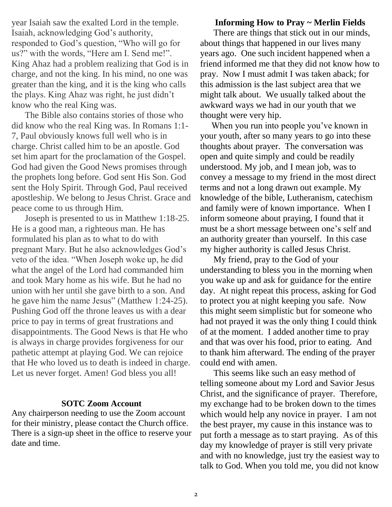year Isaiah saw the exalted Lord in the temple. Isaiah, acknowledging God's authority, responded to God's question, "Who will go for us?" with the words, "Here am I. Send me!". King Ahaz had a problem realizing that God is in charge, and not the king. In his mind, no one was greater than the king, and it is the king who calls the plays. King Ahaz was right, he just didn't know who the real King was.

 The Bible also contains stories of those who did know who the real King was. In Romans 1:1- 7, Paul obviously knows full well who is in charge. Christ called him to be an apostle. God set him apart for the proclamation of the Gospel. God had given the Good News promises through the prophets long before. God sent His Son. God sent the Holy Spirit. Through God, Paul received apostleship. We belong to Jesus Christ. Grace and peace come to us through Him.

Joseph is presented to us in Matthew 1:18-25. He is a good man, a righteous man. He has formulated his plan as to what to do with pregnant Mary. But he also acknowledges God's veto of the idea. "When Joseph woke up, he did what the angel of the Lord had commanded him and took Mary home as his wife. But he had no union with her until she gave birth to a son. And he gave him the name Jesus" (Matthew 1:24-25). Pushing God off the throne leaves us with a dear price to pay in terms of great frustrations and disappointments. The Good News is that He who is always in charge provides forgiveness for our pathetic attempt at playing God. We can rejoice that He who loved us to death is indeed in charge. Let us never forget. Amen! God bless you all!

#### **SOTC Zoom Account**

Any chairperson needing to use the Zoom account for their ministry, please contact the Church office. There is a sign-up sheet in the office to reserve your date and time.

#### **Informing How to Pray ~ Merlin Fields**

 There are things that stick out in our minds, about things that happened in our lives many years ago. One such incident happened when a friend informed me that they did not know how to pray. Now I must admit I was taken aback; for this admission is the last subject area that we might talk about. We usually talked about the awkward ways we had in our youth that we thought were very hip.

 When you run into people you've known in your youth, after so many years to go into these thoughts about prayer. The conversation was open and quite simply and could be readily understood. My job, and I mean job, was to convey a message to my friend in the most direct terms and not a long drawn out example. My knowledge of the bible, Lutheranism, catechism and family were of known importance. When I inform someone about praying, I found that it must be a short message between one's self and an authority greater than yourself. In this case my higher authority is called Jesus Christ.

 My friend, pray to the God of your understanding to bless you in the morning when you wake up and ask for guidance for the entire day. At night repeat this process, asking for God to protect you at night keeping you safe. Now this might seem simplistic but for someone who had not prayed it was the only thing I could think of at the moment. I added another time to pray and that was over his food, prior to eating. And to thank him afterward. The ending of the prayer could end with amen.

 This seems like such an easy method of telling someone about my Lord and Savior Jesus Christ, and the significance of prayer. Therefore, my exchange had to be broken down to the times which would help any novice in prayer. I am not the best prayer, my cause in this instance was to put forth a message as to start praying. As of this day my knowledge of prayer is still very private and with no knowledge, just try the easiest way to talk to God. When you told me, you did not know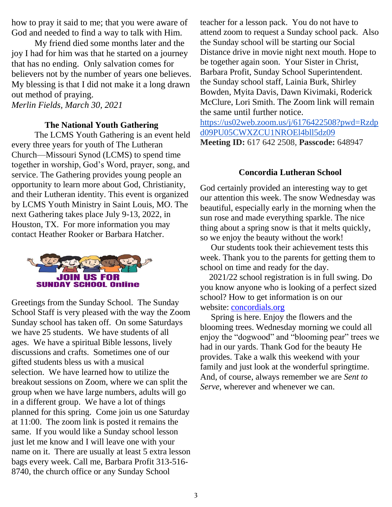how to pray it said to me; that you were aware of God and needed to find a way to talk with Him.

My friend died some months later and the joy I had for him was that he started on a journey that has no ending. Only salvation comes for believers not by the number of years one believes. My blessing is that I did not make it a long drawn out method of praying.

*Merlin Fields, March 30, 2021*

#### **The National Youth Gathering**

The LCMS Youth Gathering is an event held every three years for youth of The Lutheran Church—Missouri Synod (LCMS) to spend time together in worship, God's Word, prayer, song, and service. The Gathering provides young people an opportunity to learn more about God, Christianity, and their Lutheran identity. This event is organized by LCMS Youth Ministry in Saint Louis, MO. The next Gathering takes place July 9-13, 2022, in Houston, TX. For more information you may contact Heather Rooker or Barbara Hatcher.



Greetings from the Sunday School. The Sunday School Staff is very pleased with the way the Zoom Sunday school has taken off. On some Saturdays we have 25 students. We have students of all ages. We have a spiritual Bible lessons, lively discussions and crafts. Sometimes one of our gifted students bless us with a musical selection. We have learned how to utilize the breakout sessions on Zoom, where we can split the group when we have large numbers, adults will go in a different group. We have a lot of things planned for this spring. Come join us one Saturday at 11:00. The zoom link is posted it remains the same. If you would like a Sunday school lesson just let me know and I will leave one with your name on it. There are usually at least 5 extra lesson bags every week. Call me, Barbara Profit 313-516- 8740, the church office or any Sunday School

teacher for a lesson pack. You do not have to attend zoom to request a Sunday school pack. Also the Sunday school will be starting our Social Distance drive in movie night next mouth. Hope to be together again soon. Your Sister in Christ, Barbara Profit, Sunday School Superintendent. the Sunday school staff, Lainia Burk, Shirley Bowden, Myita Davis, Dawn Kivimaki, Roderick McClure, Lori Smith. The Zoom link will remain the same until further notice.

[https://us02web.zoom.us/j/6176422508?pwd=Rzdp](https://us02web.zoom.us/j/6176422508?pwd=Rzdpd09PU05CWXZCU1NROEl4bll5dz09) [d09PU05CWXZCU1NROEl4bll5dz09](https://us02web.zoom.us/j/6176422508?pwd=Rzdpd09PU05CWXZCU1NROEl4bll5dz09) **Meeting ID:** 617 642 2508, **Passcode:** 648947

#### **Concordia Lutheran School**

God certainly provided an interesting way to get our attention this week. The snow Wednesday was beautiful, especially early in the morning when the sun rose and made everything sparkle. The nice thing about a spring snow is that it melts quickly, so we enjoy the beauty without the work!

 Our students took their achievement tests this week. Thank you to the parents for getting them to school on time and ready for the day.

 2021/22 school registration is in full swing. Do you know anyone who is looking of a perfect sized school? How to get information is on our website: [concordials.org](http://concordials.org/)

 Spring is here. Enjoy the flowers and the blooming trees. Wednesday morning we could all enjoy the "dogwood" and "blooming pear" trees we had in our yards. Thank God for the beauty He provides. Take a walk this weekend with your family and just look at the wonderful springtime. And, of course, always remember we are *Sent to Serve*, wherever and whenever we can.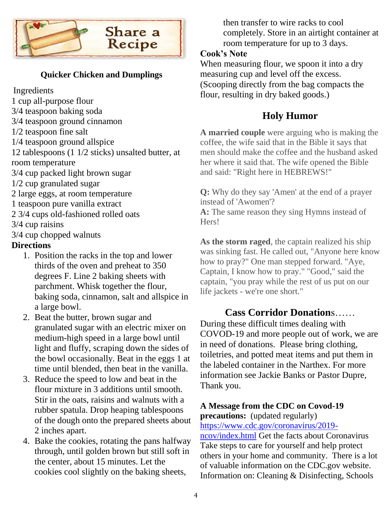

### **Quicker Chicken and Dumplings**

Ingredients

- 1 cup all-purpose flour
- 3/4 teaspoon baking soda
- 3/4 teaspoon ground cinnamon
- 1/2 teaspoon fine salt
- 1/4 teaspoon ground allspice

12 tablespoons (1 1/2 sticks) unsalted butter, at room temperature

- 3/4 cup packed light brown sugar
- 1/2 cup granulated sugar
- 2 large eggs, at room temperature
- 1 teaspoon pure vanilla extract
- 2 3/4 cups old-fashioned rolled oats
- 3/4 cup raisins
- 3/4 cup chopped walnuts

### **Directions**

- 1. Position the racks in the top and lower thirds of the oven and preheat to 350 degrees F. Line 2 baking sheets with parchment. Whisk together the flour, baking soda, cinnamon, salt and allspice in a large bowl.
- 2. Beat the butter, brown sugar and granulated sugar with an electric mixer on medium-high speed in a large bowl until light and fluffy, scraping down the sides of the bowl occasionally. Beat in the eggs 1 at time until blended, then beat in the vanilla.
- 3. Reduce the speed to low and beat in the flour mixture in 3 additions until smooth. Stir in the oats, raisins and walnuts with a rubber spatula. Drop heaping tablespoons of the dough onto the prepared sheets about 2 inches apart.
- 4. Bake the cookies, rotating the pans halfway through, until golden brown but still soft in the center, about 15 minutes. Let the cookies cool slightly on the baking sheets,

then transfer to wire racks to cool completely. Store in an airtight container at room temperature for up to 3 days.

### **Cook's Note**

When measuring flour, we spoon it into a dry measuring cup and level off the excess. (Scooping directly from the bag compacts the flour, resulting in dry baked goods.)

### **Holy Humor**

**A married couple** were arguing who is making the coffee, the wife said that in the Bible it says that men should make the coffee and the husband asked her where it said that. The wife opened the Bible and said: "Right here in HEBREWS!"

**Q:** Why do they say 'Amen' at the end of a prayer instead of 'Awomen'? **A:** The same reason they sing Hymns instead of Hers!

**As the storm raged**, the captain realized his ship was sinking fast. He called out, "Anyone here know how to pray?" One man stepped forward. "Aye, Captain, I know how to pray." "Good," said the captain, "you pray while the rest of us put on our life jackets - we're one short."

### **Cass Corridor Donation**s……

During these difficult times dealing with COVOD-19 and more people out of work, we are in need of donations. Please bring clothing, toiletries, and potted meat items and put them in the labeled container in the Narthex. For more information see Jackie Banks or Pastor Dupre, Thank you.

#### **A Message from the CDC on Covod-19 precautions:** (updated regularly)

[https://www.cdc.gov/coronavirus/2019](https://www.cdc.gov/coronavirus/2019-ncov/index.html) [ncov/index.html](https://www.cdc.gov/coronavirus/2019-ncov/index.html) Get the facts about Coronavirus Take steps to care for yourself and help protect others in your home and community. There is a lot of valuable information on the CDC.gov website. Information on: Cleaning & Disinfecting, Schools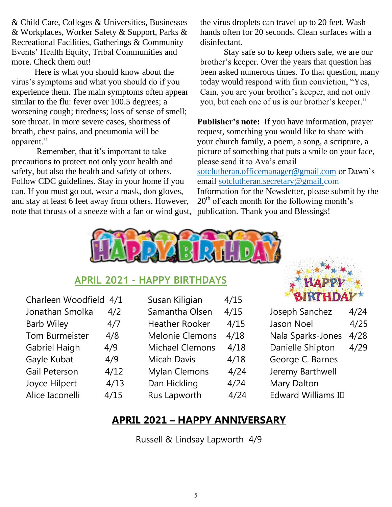& Child Care, Colleges & Universities, Businesses & Workplaces, Worker Safety & Support, Parks & Recreational Facilities, Gatherings & Community Events' Health Equity, Tribal Communities and more. Check them out!

Here is what you should know about the virus's symptoms and what you should do if you experience them. The main symptoms often appear similar to the flu: fever over 100.5 degrees; a worsening cough; tiredness; loss of sense of smell; sore throat. In more severe cases, shortness of breath, chest pains, and pneumonia will be apparent."

Remember, that it's important to take precautions to protect not only your health and safety, but also the health and safety of others. Follow CDC guidelines. Stay in your home if you can. If you must go out, wear a mask, don gloves, and stay at least 6 feet away from others. However, note that thrusts of a sneeze with a fan or wind gust, the virus droplets can travel up to 20 feet. Wash hands often for 20 seconds. Clean surfaces with a disinfectant.

 Stay safe so to keep others safe, we are our brother's keeper. Over the years that question has been asked numerous times. To that question, many today would respond with firm conviction, "Yes, Cain, you are your brother's keeper, and not only you, but each one of us is our brother's keeper."

**Publisher's note:** If you have information, prayer request, something you would like to share with your church family, a poem, a song, a scripture, a picture of something that puts a smile on your face, please send it to Ava's email [sotclutheran.officemanager@gmail.com](mailto:sotclutheran.officemanager@gmail.com) or Dawn's email [sotclutheran.secretary@gmail.com](mailto:sotclutheran.secretary@gmail.com) Information for the Newsletter, please submit by the  $20<sup>th</sup>$  of each month for the following month's publication. Thank you and Blessings!



### **APRIL 2021 - HAPPY BIRTHDAYS**

| 4/1  |
|------|
| 4/2  |
| 4/7  |
| 4/8  |
| 4/9  |
| 4/9  |
| 4/12 |
| 4/13 |
| 4/15 |
|      |

|   | Susan Kiligian         | 4/15 |
|---|------------------------|------|
|   | Samantha Olsen         | 4/15 |
|   | <b>Heather Rooker</b>  | 4/15 |
|   | <b>Melonie Clemons</b> | 4/18 |
|   | <b>Michael Clemons</b> | 4/18 |
|   | <b>Micah Davis</b>     | 4/18 |
|   | <b>Mylan Clemons</b>   | 4/24 |
| ξ | Dan Hickling           | 4/24 |
|   | Rus Lapworth           | 4/24 |



| Joseph Sanchez    | 4/24 |
|-------------------|------|
| <b>Jason Noel</b> | 4/25 |
| Nala Sparks-Jones | 4/28 |
| Danielle Shipton  | 4/29 |
| George C. Barnes  |      |
| Jeremy Barthwell  |      |

- Mary Dalton
- Edward Williams III

### **APRIL 2021 – HAPPY ANNIVERSARY**

Russell & Lindsay Lapworth 4/9